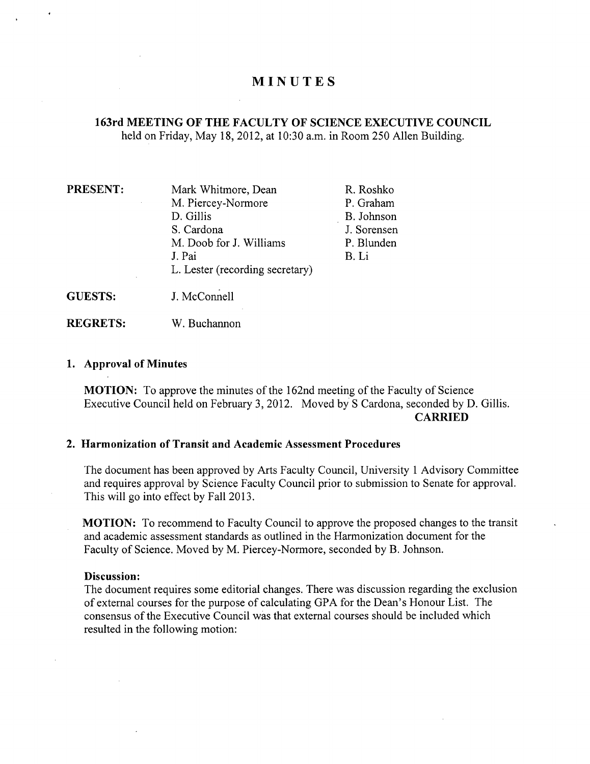# **MINUTES**

## **163rd MEETING OF THE FACULTY OF SCIENCE EXECUTIVE COUNCIL**  held on Friday, May 18, 2012, at 10:30 a.m. in Room 250 Allen Building.

**PRESENT:** Mark Whitmore, Dean R. Roshko M. Piercey-Normore P. Graham D. Gillis B. Johnson S. Cardona J. Sorensen M. Doob for J. Williams P. Blunden J. Pai B. Li L. Lester (recording secretary) **GUESTS:** J. McConnell

**REGRETS:** W. Buchannon

## **1. Approval of Minutes**

**MOTION:** To approve the minutes of the 162nd meeting of the Faculty of Science Executive Council held on February 3, 2012. Moved by S Cardona, seconded by D. Gillis. **CARRIED** 

## **Harmonization of Transit and Academic Assessment Procedures**

The document has been approved by Arts Faculty Council, University 1 Advisory Committee and requires approval by Science Faculty Council prior to submission to Senate for approval. This will go into effect by Fall 2013.

**MOTION:** To recommend to Faculty Council to approve the proposed changes to the transit and academic assessment standards as outlined in the Harmonization document for the Faculty of Science. Moved by M. Piercey-Normore, seconded by B. Johnson.

#### **Discussion:**

The document requires some editorial changes. There was discussion regarding the exclusion of external courses for the purpose of calculating GPA for the Dean's Honour List. The consensus of the Executive Council was that external courses should be included which resulted in the following motion: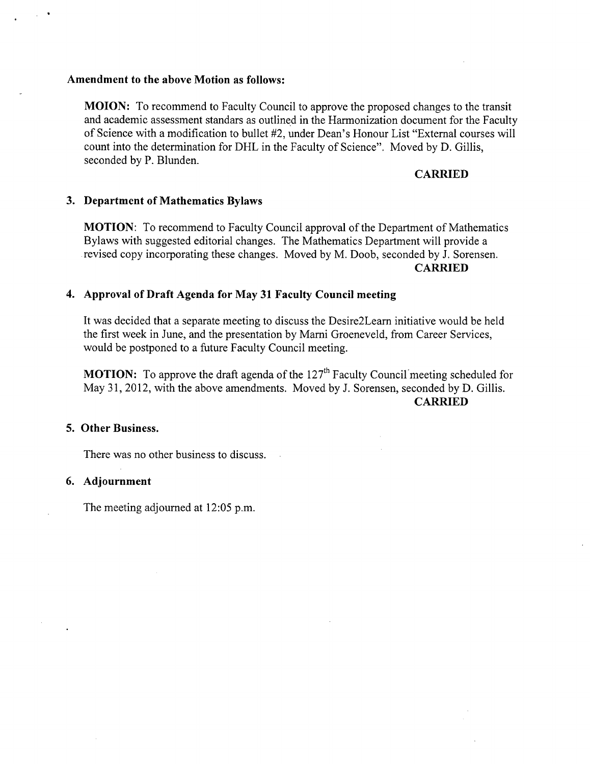#### **Amendment to the above Motion as follows:**

**MOION:** To recommend to Faculty Council to approve the proposed changes to the transit and academic assessment standars as outlined in the Harmonization document for the Faculty of Science with a modification to bullet #2, under Dean's Honour List "External courses will count into the determination for DHL in the Faculty of Science". Moved by D. Gillis, seconded by P. Blunden.

## **CARRIED**

#### **Department of Mathematics Bylaws**

**MOTION:** To recommend to Faculty Council approval of the Department of Mathematics Bylaws with suggested editorial changes. The Mathematics Department will provide a revised copy incorporating these changes. Moved by M. Doob, seconded by J. Sorensen. **CARRIED** 

## **Approval of Draft Agenda for May 31 Faculty Council meeting**

It was decided that a separate meeting to discuss the Desire2Learn initiative would be held the first week in June, and the presentation by Marni Groeneveld, from Career Services, would be postponed to a future Faculty Council meeting.

**MOTION:** To approve the draft agenda of the 127<sup>th</sup> Faculty Council meeting scheduled for May 31, 2012, with the above amendments. Moved by J. Sorensen, seconded by D. Gillis. **CARRIED** 

## **Other Business.**

There was no other business to discuss.

#### **Adjournment**

The meeting adjourned at 12:05 p.m.